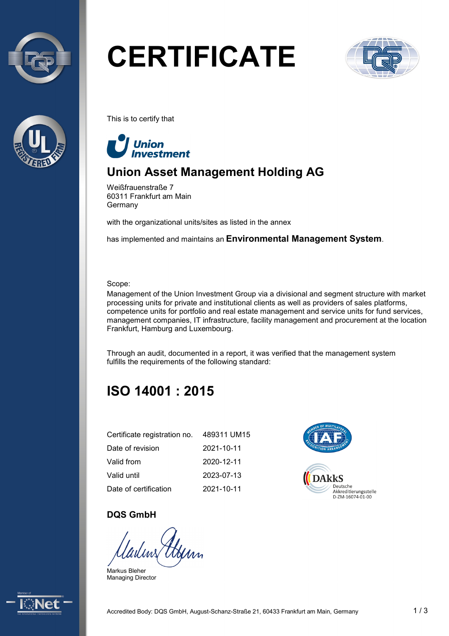



# **CERTIFICATE**



This is to certify that



# **Union Asset Management Holding AG**

Weißfrauenstraße 7 60311 Frankfurt am Main Germany

with the organizational units/sites as listed in the annex

has implemented and maintains an **Environmental Management System**.

Scope:

Management of the Union Investment Group via a divisional and segment structure with market processing units for private and institutional clients as well as providers of sales platforms, competence units for portfolio and real estate management and service units for fund services, management companies, IT infrastructure, facility management and procurement at the location Frankfurt, Hamburg and Luxembourg.

Through an audit, documented in a report, it was verified that the management system fulfills the requirements of the following standard:

# **ISO 14001 : 2015**

| Certificate registration no. | 489311 UM15 |
|------------------------------|-------------|
| Date of revision             | 2021-10-11  |
| Valid from                   | 2020-12-11  |
| Valid until                  | 2023-07-13  |
| Date of certification        | 2021-10-11  |



#### **DQS GmbH**

Markus Bleher Managing Director

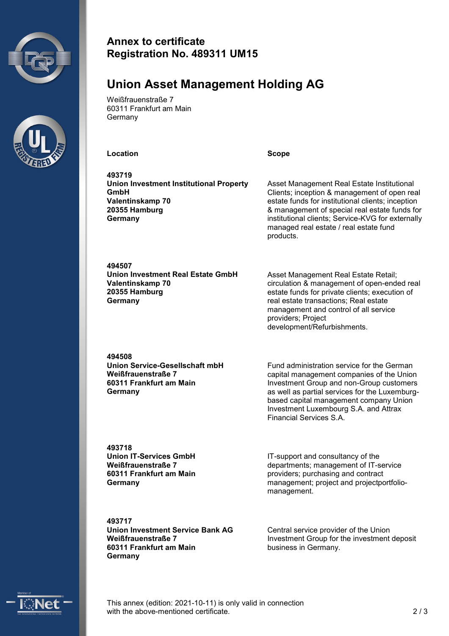



#### **Annex to certificate Registration No. 489311 UM15**

## **Union Asset Management Holding AG**

Weißfrauenstraße 7 60311 Frankfurt am Main Germany

**Location Scope**

**493719 Union Investment Institutional Property GmbH Valentinskamp 70 20355 Hamburg Germany**

Asset Management Real Estate Institutional Clients; inception & management of open real estate funds for institutional clients; inception & management of special real estate funds for institutional clients; Service-KVG for externally managed real estate / real estate fund products.

**494507 Union Investment Real Estate GmbH Valentinskamp 70 20355 Hamburg Germany**

Asset Management Real Estate Retail; circulation & management of open-ended real estate funds for private clients; execution of real estate transactions; Real estate management and control of all service providers; Project development/Refurbishments.

**494508 Union Service-Gesellschaft mbH Weißfrauenstraße 7 60311 Frankfurt am Main Germany**

Fund administration service for the German capital management companies of the Union Investment Group and non-Group customers as well as partial services for the Luxemburgbased capital management company Union Investment Luxembourg S.A. and Attrax Financial Services S.A.

**493718 Union IT-Services GmbH Weißfrauenstraße 7 60311 Frankfurt am Main Germany**

IT-support and consultancy of the departments; management of IT-service providers; purchasing and contract management; project and projectportfoliomanagement.

**493717 Union Investment Service Bank AG Weißfrauenstraße 7 60311 Frankfurt am Main Germany**

Central service provider of the Union Investment Group for the investment deposit business in Germany.



This annex (edition: 2021-10-11) is only valid in connection with the above-mentioned certificate. 2 / 3